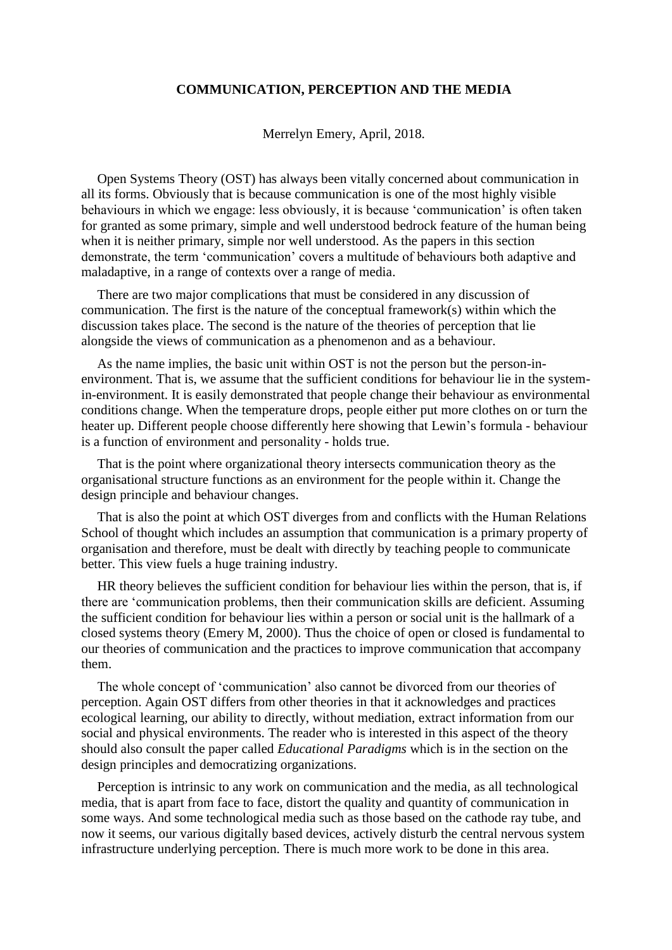## **COMMUNICATION, PERCEPTION AND THE MEDIA**

Merrelyn Emery, April, 2018.

Open Systems Theory (OST) has always been vitally concerned about communication in all its forms. Obviously that is because communication is one of the most highly visible behaviours in which we engage: less obviously, it is because 'communication' is often taken for granted as some primary, simple and well understood bedrock feature of the human being when it is neither primary, simple nor well understood. As the papers in this section demonstrate, the term 'communication' covers a multitude of behaviours both adaptive and maladaptive, in a range of contexts over a range of media.

There are two major complications that must be considered in any discussion of communication. The first is the nature of the conceptual framework(s) within which the discussion takes place. The second is the nature of the theories of perception that lie alongside the views of communication as a phenomenon and as a behaviour.

As the name implies, the basic unit within OST is not the person but the person-inenvironment. That is, we assume that the sufficient conditions for behaviour lie in the systemin-environment. It is easily demonstrated that people change their behaviour as environmental conditions change. When the temperature drops, people either put more clothes on or turn the heater up. Different people choose differently here showing that Lewin's formula - behaviour is a function of environment and personality - holds true.

That is the point where organizational theory intersects communication theory as the organisational structure functions as an environment for the people within it. Change the design principle and behaviour changes.

That is also the point at which OST diverges from and conflicts with the Human Relations School of thought which includes an assumption that communication is a primary property of organisation and therefore, must be dealt with directly by teaching people to communicate better. This view fuels a huge training industry.

HR theory believes the sufficient condition for behaviour lies within the person, that is, if there are 'communication problems, then their communication skills are deficient. Assuming the sufficient condition for behaviour lies within a person or social unit is the hallmark of a closed systems theory (Emery M, 2000). Thus the choice of open or closed is fundamental to our theories of communication and the practices to improve communication that accompany them.

The whole concept of 'communication' also cannot be divorced from our theories of perception. Again OST differs from other theories in that it acknowledges and practices ecological learning, our ability to directly, without mediation, extract information from our social and physical environments. The reader who is interested in this aspect of the theory should also consult the paper called *Educational Paradigms* which is in the section on the design principles and democratizing organizations.

Perception is intrinsic to any work on communication and the media, as all technological media, that is apart from face to face, distort the quality and quantity of communication in some ways. And some technological media such as those based on the cathode ray tube, and now it seems, our various digitally based devices, actively disturb the central nervous system infrastructure underlying perception. There is much more work to be done in this area.